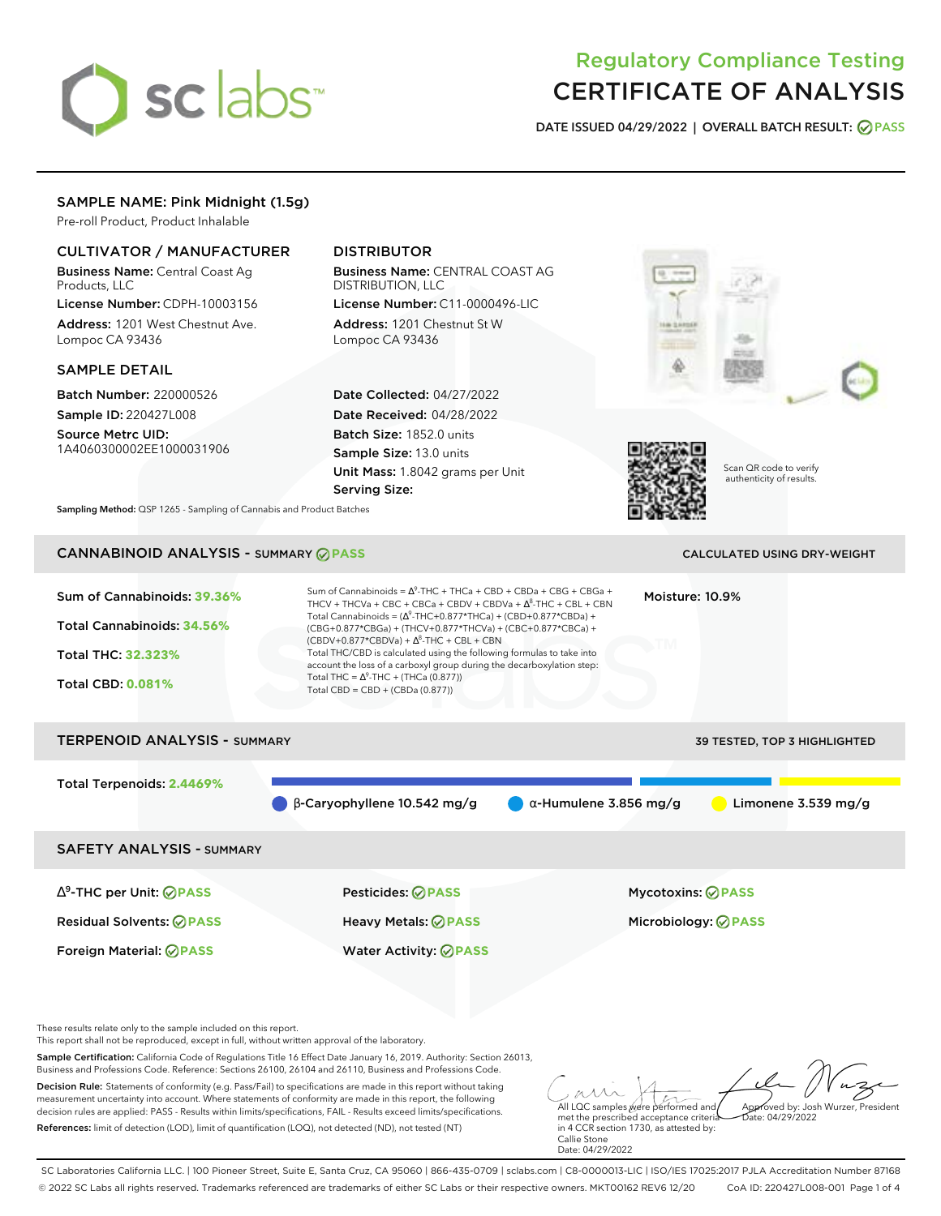# sclabs<sup>\*</sup>

# Regulatory Compliance Testing CERTIFICATE OF ANALYSIS

**DATE ISSUED 04/29/2022 | OVERALL BATCH RESULT: PASS**

# SAMPLE NAME: Pink Midnight (1.5g)

Pre-roll Product, Product Inhalable

# CULTIVATOR / MANUFACTURER

Business Name: Central Coast Ag Products, LLC

License Number: CDPH-10003156 Address: 1201 West Chestnut Ave. Lompoc CA 93436

# SAMPLE DETAIL

Batch Number: 220000526 Sample ID: 220427L008

Source Metrc UID: 1A4060300002EE1000031906

# DISTRIBUTOR

Business Name: CENTRAL COAST AG DISTRIBUTION, LLC License Number: C11-0000496-LIC

Address: 1201 Chestnut St W Lompoc CA 93436

Date Collected: 04/27/2022 Date Received: 04/28/2022 Batch Size: 1852.0 units Sample Size: 13.0 units Unit Mass: 1.8042 grams per Unit Serving Size:





Scan QR code to verify authenticity of results.

**Sampling Method:** QSP 1265 - Sampling of Cannabis and Product Batches

# CANNABINOID ANALYSIS - SUMMARY **PASS** CALCULATED USING DRY-WEIGHT

| Sum of Cannabinoids: 39.36%<br>Total Cannabinoids: 34.56%<br><b>Total THC: 32.323%</b><br><b>Total CBD: 0.081%</b> | Sum of Cannabinoids = $\Lambda^9$ -THC + THCa + CBD + CBDa + CBG + CBGa +<br>THCV + THCVa + CBC + CBCa + CBDV + CBDVa + $\Delta^8$ -THC + CBL + CBN<br>Total Cannabinoids = $(\Delta^9$ -THC+0.877*THCa) + (CBD+0.877*CBDa) +<br>(CBG+0.877*CBGa) + (THCV+0.877*THCVa) + (CBC+0.877*CBCa) +<br>$(CBDV+0.877*CBDVa) + \Delta^{8}$ -THC + CBL + CBN<br>Total THC/CBD is calculated using the following formulas to take into<br>account the loss of a carboxyl group during the decarboxylation step:<br>Total THC = $\Delta^9$ -THC + (THCa (0.877))<br>Total CBD = $CBD + (CBDa (0.877))$ |                               | Moisture: 10.9%          |                       |
|--------------------------------------------------------------------------------------------------------------------|-------------------------------------------------------------------------------------------------------------------------------------------------------------------------------------------------------------------------------------------------------------------------------------------------------------------------------------------------------------------------------------------------------------------------------------------------------------------------------------------------------------------------------------------------------------------------------------------|-------------------------------|--------------------------|-----------------------|
| <b>TERPENOID ANALYSIS - SUMMARY</b><br><b>39 TESTED, TOP 3 HIGHLIGHTED</b>                                         |                                                                                                                                                                                                                                                                                                                                                                                                                                                                                                                                                                                           |                               |                          |                       |
| Total Terpenoids: 2.4469%                                                                                          | $\beta$ -Caryophyllene 10.542 mg/g                                                                                                                                                                                                                                                                                                                                                                                                                                                                                                                                                        | $\alpha$ -Humulene 3.856 mg/g |                          | Limonene $3.539$ mg/g |
| <b>SAFETY ANALYSIS - SUMMARY</b>                                                                                   |                                                                                                                                                                                                                                                                                                                                                                                                                                                                                                                                                                                           |                               |                          |                       |
| $\Delta^9$ -THC per Unit: $\oslash$ PASS                                                                           | Pesticides: ⊘PASS                                                                                                                                                                                                                                                                                                                                                                                                                                                                                                                                                                         |                               | <b>Mycotoxins: ⊘PASS</b> |                       |

Foreign Material: **PASS** Water Activity: **PASS**

Residual Solvents: **PASS** Heavy Metals: **PASS** Microbiology: **PASS**

These results relate only to the sample included on this report.

This report shall not be reproduced, except in full, without written approval of the laboratory.

Sample Certification: California Code of Regulations Title 16 Effect Date January 16, 2019. Authority: Section 26013, Business and Professions Code. Reference: Sections 26100, 26104 and 26110, Business and Professions Code.

Decision Rule: Statements of conformity (e.g. Pass/Fail) to specifications are made in this report without taking measurement uncertainty into account. Where statements of conformity are made in this report, the following decision rules are applied: PASS - Results within limits/specifications, FAIL - Results exceed limits/specifications. References: limit of detection (LOD), limit of quantification (LOQ), not detected (ND), not tested (NT)

All LQC samples were performed and met the prescribed acceptance criteria Approved by: Josh Wurzer, President Date: 04/29/2022

in 4 CCR section 1730, as attested by: Callie Stone Date: 04/29/2022

SC Laboratories California LLC. | 100 Pioneer Street, Suite E, Santa Cruz, CA 95060 | 866-435-0709 | sclabs.com | C8-0000013-LIC | ISO/IES 17025:2017 PJLA Accreditation Number 87168 © 2022 SC Labs all rights reserved. Trademarks referenced are trademarks of either SC Labs or their respective owners. MKT00162 REV6 12/20 CoA ID: 220427L008-001 Page 1 of 4